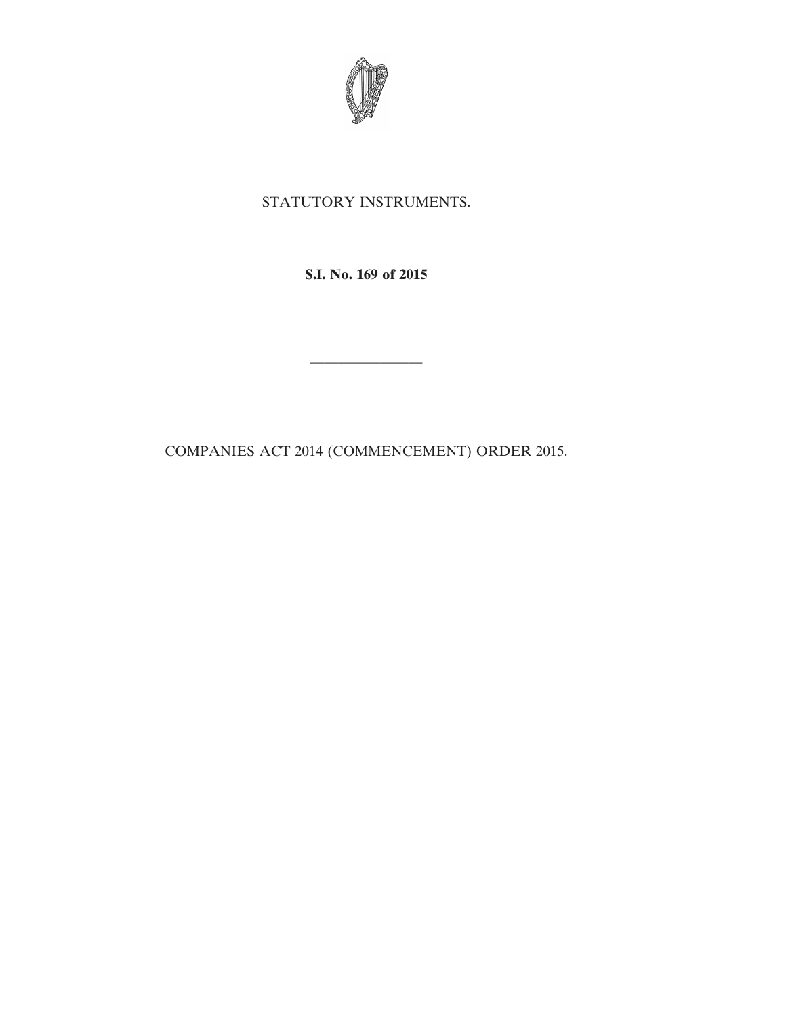

## STATUTORY INSTRUMENTS.

**S.I. No. 169 of 2015**

————————

COMPANIES ACT 2014 (COMMENCEMENT) ORDER 2015.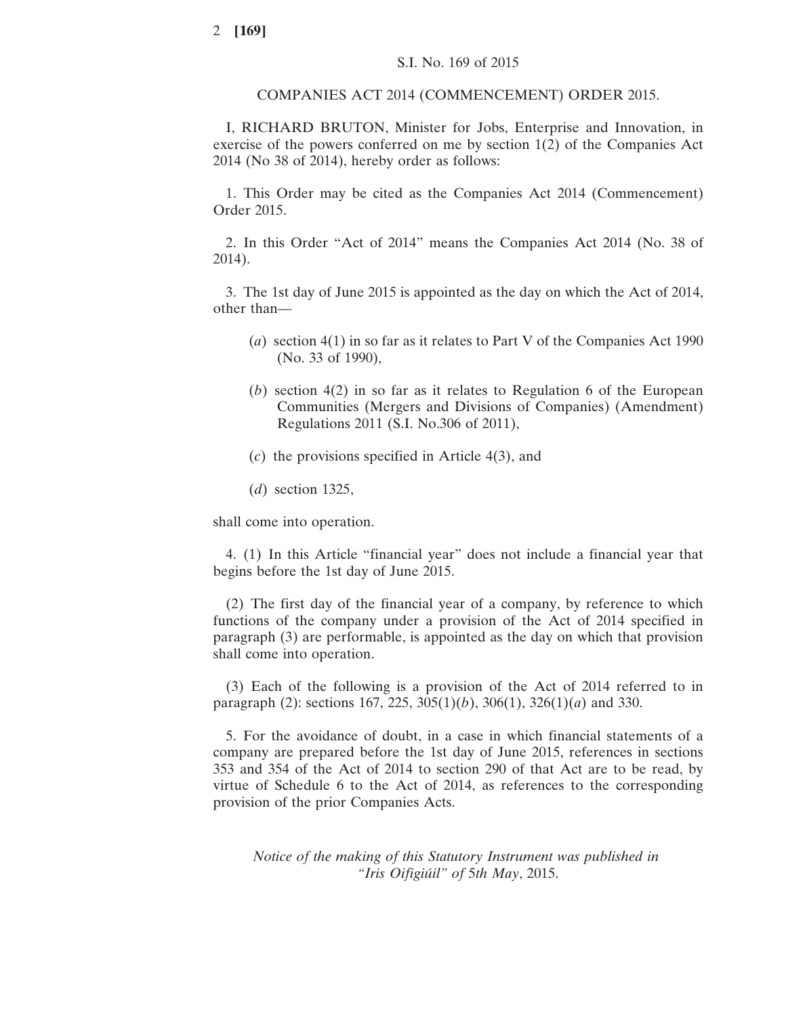COMPANIES ACT 2014 (COMMENCEMENT) ORDER 2015.

I, RICHARD BRUTON, Minister for Jobs, Enterprise and Innovation, in exercise of the powers conferred on me by section 1(2) of the Companies Act 2014 (No 38 of 2014), hereby order as follows:

1. This Order may be cited as the Companies Act 2014 (Commencement) Order 2015.

2. In this Order "Act of 2014" means the Companies Act 2014 (No. 38 of 2014).

3. The 1st day of June 2015 is appointed as the day on which the Act of 2014, other than—

- (*a*) section 4(1) in so far as it relates to Part V of the Companies Act 1990 (No. 33 of 1990),
- (*b*) section 4(2) in so far as it relates to Regulation 6 of the European Communities (Mergers and Divisions of Companies) (Amendment) Regulations 2011 (S.I. No.306 of 2011),
- (*c*) the provisions specified in Article 4(3), and

(*d*) section 1325,

shall come into operation.

4. (1) In this Article "financial year" does not include a financial year that begins before the 1st day of June 2015.

(2) The first day of the financial year of a company, by reference to which functions of the company under a provision of the Act of 2014 specified in paragraph (3) are performable, is appointed as the day on which that provision shall come into operation.

(3) Each of the following is a provision of the Act of 2014 referred to in paragraph (2): sections 167, 225, 305(1)(*b*), 306(1), 326(1)(*a*) and 330.

5. For the avoidance of doubt, in a case in which financial statements of a company are prepared before the 1st day of June 2015, references in sections 353 and 354 of the Act of 2014 to section 290 of that Act are to be read, by virtue of Schedule 6 to the Act of 2014, as references to the corresponding provision of the prior Companies Acts.

*Notice of the making of this Statutory Instrument was published in "Iris Oifigiúil" of* 5*th May*, 2015.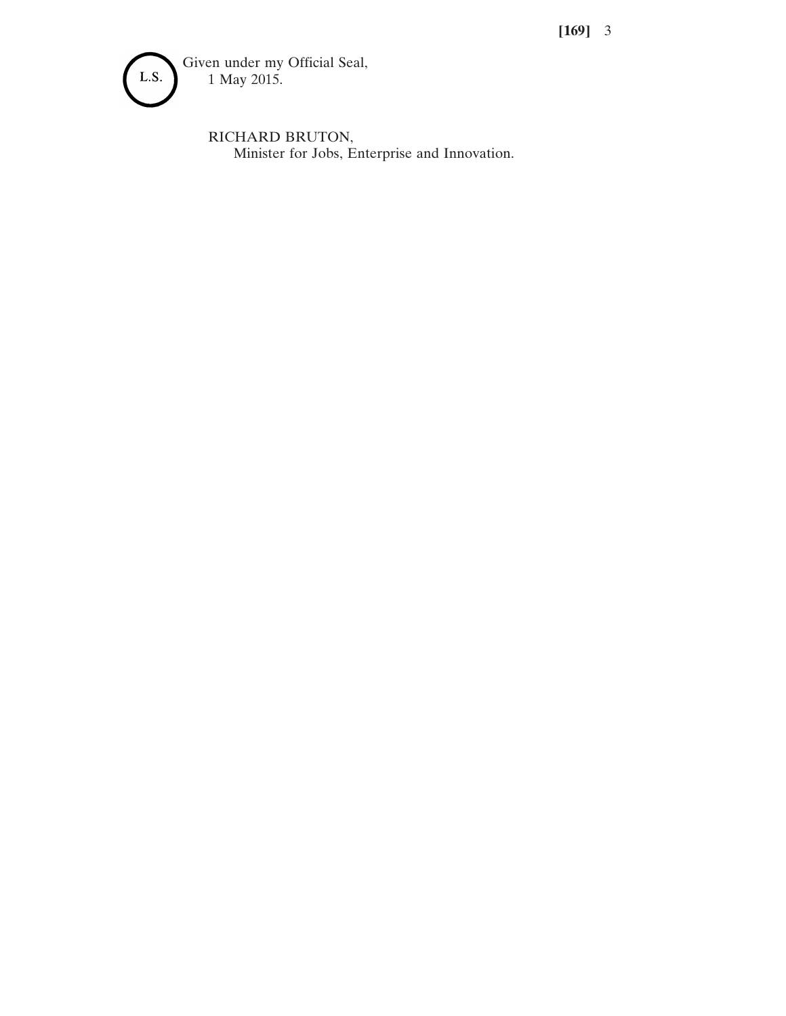**[169]** 3



RICHARD BRUTON, Minister for Jobs, Enterprise and Innovation.